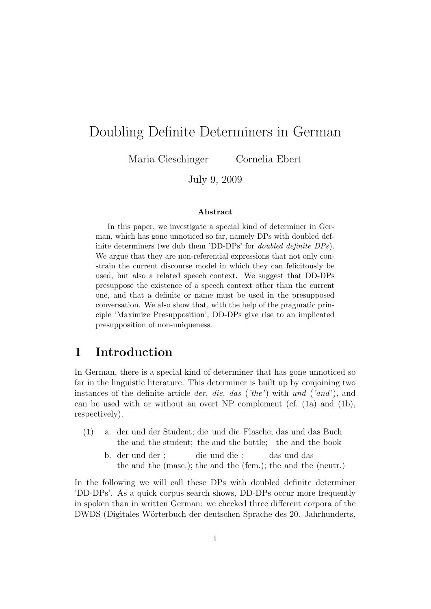# Doubling Definite Determiners in German

Maria Cieschinger Cornelia Ebert

July 9, 2009

#### Abstract

In this paper, we investigate a special kind of determiner in German, which has gone unnoticed so far, namely DPs with doubled definite determiners (we dub them 'DD-DPs' for doubled definite DPs). We argue that they are non-referential expressions that not only constrain the current discourse model in which they can felicitously be used, but also a related speech context. We suggest that DD-DPs presuppose the existence of a speech context other than the current one, and that a definite or name must be used in the presupposed conversation. We also show that, with the help of the pragmatic principle 'Maximize Presupposition', DD-DPs give rise to an implicated presupposition of non-uniqueness.

## 1 Introduction

In German, there is a special kind of determiner that has gone unnoticed so far in the linguistic literature. This determiner is built up by conjoining two instances of the definite article der, die, das ('the') with und ('and'), and can be used with or without an overt NP complement (cf.  $(1a)$ ) and  $(1b)$ , respectively).

- (1) a. der und der Student; die und die Flasche; das und das Buch the and the student; the and the bottle; the and the book
	- b. der und der ; the and the (masc.); the and the (fem.); the and the (neutr.) die und die ; das und das

In the following we will call these DPs with doubled definite determiner 'DD-DPs'. As a quick corpus search shows, DD-DPs occur more frequently in spoken than in written German: we checked three different corpora of the DWDS (Digitales Wörterbuch der deutschen Sprache des 20. Jahrhunderts,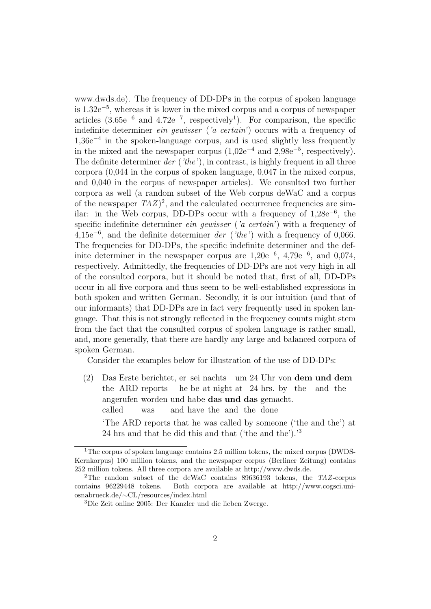www.dwds.de). The frequency of DD-DPs in the corpus of spoken language is 1.32e<sup>−</sup><sup>5</sup> , whereas it is lower in the mixed corpus and a corpus of newspaper articles  $(3.65e^{-6}$  and  $4.72e^{-7}$ , respectively<sup>1</sup>). For comparison, the specific indefinite determiner ein gewisser ('a certain') occurs with a frequency of 1,36e<sup>−</sup><sup>4</sup> in the spoken-language corpus, and is used slightly less frequently in the mixed and the newspaper corpus  $(1,02e^{-4}$  and  $2,98e^{-5}$ , respectively). The definite determiner  $der('the')$ , in contrast, is highly frequent in all three corpora (0,044 in the corpus of spoken language, 0,047 in the mixed corpus, and 0,040 in the corpus of newspaper articles). We consulted two further corpora as well (a random subset of the Web corpus deWaC and a corpus of the newspaper  $TAZ$ <sup>2</sup>, and the calculated occurrence frequencies are similar: in the Web corpus, DD-DPs occur with a frequency of 1,28e<sup>−</sup><sup>6</sup> , the specific indefinite determiner *ein gewisser* ('*a certain*') with a frequency of  $4,15e^{-6}$ , and the definite determiner der ('the') with a frequency of 0,066. The frequencies for DD-DPs, the specific indefinite determiner and the definite determiner in the newspaper corpus are  $1,20e^{-6}, 4,79e^{-6},$  and  $0,074,$ respectively. Admittedly, the frequencies of DD-DPs are not very high in all of the consulted corpora, but it should be noted that, first of all, DD-DPs occur in all five corpora and thus seem to be well-established expressions in both spoken and written German. Secondly, it is our intuition (and that of our informants) that DD-DPs are in fact very frequently used in spoken language. That this is not strongly reflected in the frequency counts might stem from the fact that the consulted corpus of spoken language is rather small, and, more generally, that there are hardly any large and balanced corpora of spoken German.

Consider the examples below for illustration of the use of DD-DPs:

 $(2)$ the ARD reports Erste berichtet, er sei nachts um 24 Uhr von dem und dem he be at night at 24 hrs. by the and the angerufen worden und habe das und das gemacht. called was and have the and the done 'The ARD reports that he was called by someone ('the and the') at 24 hrs and that he did this and that ('the and the').'<sup>3</sup>

<sup>1</sup>The corpus of spoken language contains 2.5 million tokens, the mixed corpus (DWDS-Kernkorpus) 100 million tokens, and the newspaper corpus (Berliner Zeitung) contains 252 million tokens. All three corpora are available at http://www.dwds.de.

<sup>2</sup>The random subset of the deWaC contains 89636193 tokens, the TAZ-corpus contains 96229448 tokens. Both corpora are available at http://www.cogsci.uniosnabrueck.de/∼CL/resources/index.html

<sup>3</sup>Die Zeit online 2005: Der Kanzler und die lieben Zwerge.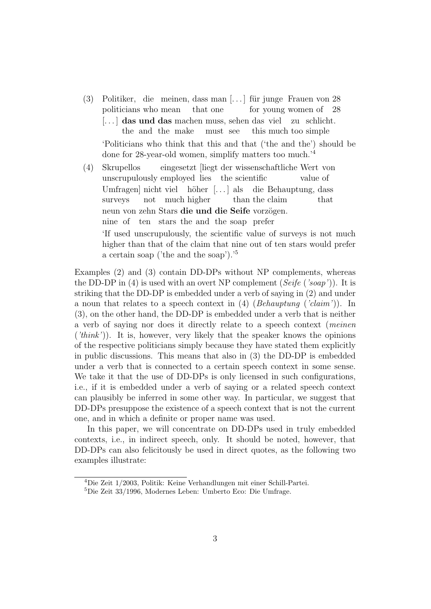- (3) Politiker, die meinen, dass man [...] für junge Frauen von 28 politicians who mean that one for young women of 28 [...] das und das machen muss, sehen das viel zu schlicht. the and the make must see this much too simple 'Politicians who think that this and that ('the and the') should be done for 28-year-old women, simplify matters too much.'<sup>4</sup>
- (4) Skrupellos unscrupulously employed lies the scientific eingesetzt [liegt der wissenschaftliche Wert von value of Umfragen nicht viel höher [...] als surveys not much higher than the claim die Behauptung, dass that neun von zehn Stars die und die Seife vorzögen. nine of ten stars the and the soap prefer 'If used unscrupulously, the scientific value of surveys is not much higher than that of the claim that nine out of ten stars would prefer a certain soap ('the and the soap').'<sup>5</sup>

Examples (2) and (3) contain DD-DPs without NP complements, whereas the DD-DP in (4) is used with an overt NP complement (Seife ('soap')). It is striking that the DD-DP is embedded under a verb of saying in (2) and under a noun that relates to a speech context in (4) (Behauptung ('claim')). In (3), on the other hand, the DD-DP is embedded under a verb that is neither a verb of saying nor does it directly relate to a speech context (meinen ('think')). It is, however, very likely that the speaker knows the opinions of the respective politicians simply because they have stated them explicitly in public discussions. This means that also in (3) the DD-DP is embedded under a verb that is connected to a certain speech context in some sense. We take it that the use of DD-DPs is only licensed in such configurations, i.e., if it is embedded under a verb of saying or a related speech context can plausibly be inferred in some other way. In particular, we suggest that DD-DPs presuppose the existence of a speech context that is not the current one, and in which a definite or proper name was used.

In this paper, we will concentrate on DD-DPs used in truly embedded contexts, i.e., in indirect speech, only. It should be noted, however, that DD-DPs can also felicitously be used in direct quotes, as the following two examples illustrate:

<sup>4</sup>Die Zeit 1/2003, Politik: Keine Verhandlungen mit einer Schill-Partei.

<sup>5</sup>Die Zeit 33/1996, Modernes Leben: Umberto Eco: Die Umfrage.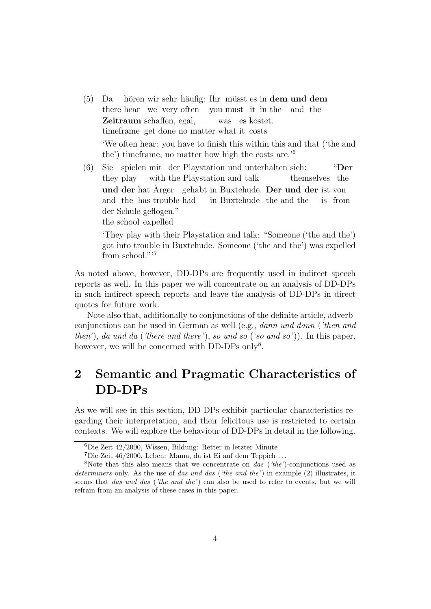- (5) Da there hear we very often you must it in the hören wir sehr häufig: Ihr müsst es in **dem und dem** and the Zeitraum schaffen, egal, timeframe get done no matter what it costs was es kostet. 'We often hear: you have to finish this within this and that ('the and the') timeframe, no matter how high the costs are.'<sup>6</sup>
- (6) Sie spielen mit der Playstation und unterhalten sich: they play with the Playstation and talk themselves the "Der und der hat Ärger gehabt in Buxtehude. Der und der ist von and the has trouble had in Buxtehude the and the is from der Schule geflogen." the school expelled

'They play with their Playstation and talk: "Someone ('the and the') got into trouble in Buxtehude. Someone ('the and the') was expelled from school."<sup>7</sup>

As noted above, however, DD-DPs are frequently used in indirect speech reports as well. In this paper we will concentrate on an analysis of DD-DPs in such indirect speech reports and leave the analysis of DD-DPs in direct quotes for future work.

Note also that, additionally to conjunctions of the definite article, adverbconjunctions can be used in German as well (e.g., dann und dann ('then and then'), da und da ('there and there'), so und so ('so and so')). In this paper, however, we will be concerned with DD-DPs only<sup>8</sup>.

# 2 Semantic and Pragmatic Characteristics of DD-DPs

As we will see in this section, DD-DPs exhibit particular characteristics regarding their interpretation, and their felicitous use is restricted to certain contexts. We will explore the behaviour of DD-DPs in detail in the following.

<sup>6</sup>Die Zeit 42/2000, Wissen, Bildung: Retter in letzter Minute

<sup>&</sup>lt;sup>7</sup>Die Zeit 46/2000, Leben: Mama, da ist Ei auf dem Teppich ...

<sup>&</sup>lt;sup>8</sup>Note that this also means that we concentrate on *das* ( $i$ the')-conjunctions used as determiners only. As the use of das und das ('the and the') in example (2) illustrates, it seems that das und das ('the and the') can also be used to refer to events, but we will refrain from an analysis of these cases in this paper.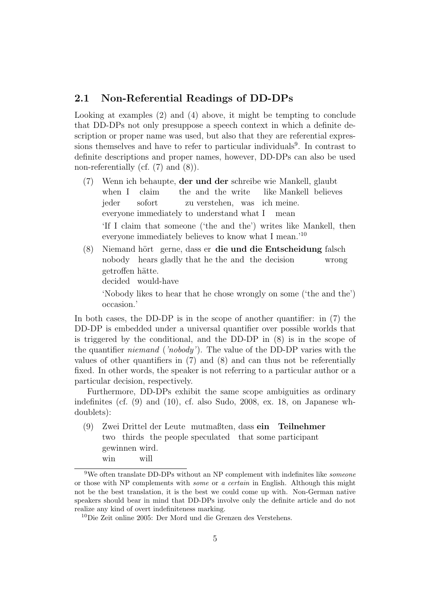#### 2.1 Non-Referential Readings of DD-DPs

Looking at examples (2) and (4) above, it might be tempting to conclude that DD-DPs not only presuppose a speech context in which a definite description or proper name was used, but also that they are referential expressions themselves and have to refer to particular individuals<sup>9</sup>. In contrast to definite descriptions and proper names, however, DD-DPs can also be used non-referentially (cf.  $(7)$  and  $(8)$ ).

- (7) Wenn ich behaupte, der und der schreibe wie Mankell, glaubt when I claim the and the write like Mankell believes jeder everyone immediately to understand what I sofort zu verstehen, was ich meine. mean 'If I claim that someone ('the and the') writes like Mankell, then everyone immediately believes to know what I mean.'<sup>10</sup>
- (8) Niemand hört gerne, dass er die und die Entscheidung falsch nobody hears gladly that he the and the decision wrong getroffen hätte. decided would-have 'Nobody likes to hear that he chose wrongly on some ('the and the') occasion.'

In both cases, the DD-DP is in the scope of another quantifier: in (7) the DD-DP is embedded under a universal quantifier over possible worlds that is triggered by the conditional, and the DD-DP in (8) is in the scope of the quantifier niemand ('nobody'). The value of the DD-DP varies with the values of other quantifiers in (7) and (8) and can thus not be referentially fixed. In other words, the speaker is not referring to a particular author or a particular decision, respectively.

Furthermore, DD-DPs exhibit the same scope ambiguities as ordinary indefinites (cf. (9) and (10), cf. also Sudo, 2008, ex. 18, on Japanese whdoublets):

(9) Zwei Drittel der Leute mutmaßten, dass ein Teilnehmer two thirds the people speculated that some participant gewinnen wird. win will

 $9$ We often translate DD-DPs without an NP complement with indefinites like *someone* or those with NP complements with some or a certain in English. Although this might not be the best translation, it is the best we could come up with. Non-German native speakers should bear in mind that DD-DPs involve only the definite article and do not realize any kind of overt indefiniteness marking.

<sup>10</sup>Die Zeit online 2005: Der Mord und die Grenzen des Verstehens.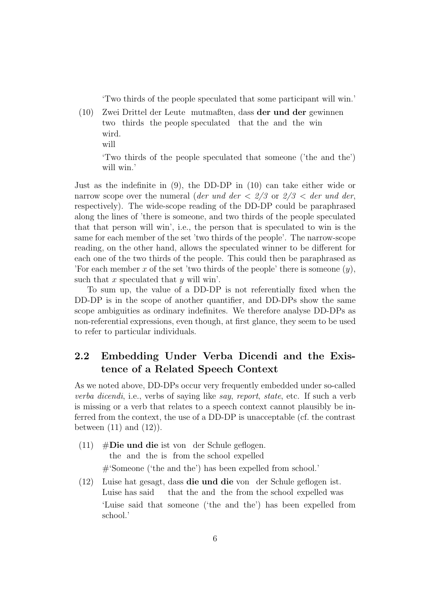'Two thirds of the people speculated that some participant will win.'

- (10) Zwei Drittel der Leute mutmaßten, dass der und der gewinnen two thirds the people speculated that the and the win wird.
	- will

'Two thirds of the people speculated that someone ('the and the') will win.'

Just as the indefinite in (9), the DD-DP in (10) can take either wide or narrow scope over the numeral (der und der  $\langle 2/3 \rangle$  or  $\langle 2/3 \rangle$  der und der, respectively). The wide-scope reading of the DD-DP could be paraphrased along the lines of 'there is someone, and two thirds of the people speculated that that person will win', i.e., the person that is speculated to win is the same for each member of the set 'two thirds of the people'. The narrow-scope reading, on the other hand, allows the speculated winner to be different for each one of the two thirds of the people. This could then be paraphrased as 'For each member x of the set 'two thirds of the people' there is someone  $(y)$ , such that x speculated that y will win'.

To sum up, the value of a DD-DP is not referentially fixed when the DD-DP is in the scope of another quantifier, and DD-DPs show the same scope ambiguities as ordinary indefinites. We therefore analyse DD-DPs as non-referential expressions, even though, at first glance, they seem to be used to refer to particular individuals.

## 2.2 Embedding Under Verba Dicendi and the Existence of a Related Speech Context

As we noted above, DD-DPs occur very frequently embedded under so-called verba dicendi, i.e., verbs of saying like say, report, state, etc. If such a verb is missing or a verb that relates to a speech context cannot plausibly be inferred from the context, the use of a DD-DP is unacceptable (cf. the contrast between  $(11)$  and  $(12)$ ).

- (11) #Die und die ist von der Schule geflogen. the and the is from the school expelled #'Someone ('the and the') has been expelled from school.'
- (12) Luise hat gesagt, dass die und die von der Schule geflogen ist. Luise has said that the and the from the school expelled was 'Luise said that someone ('the and the') has been expelled from school.'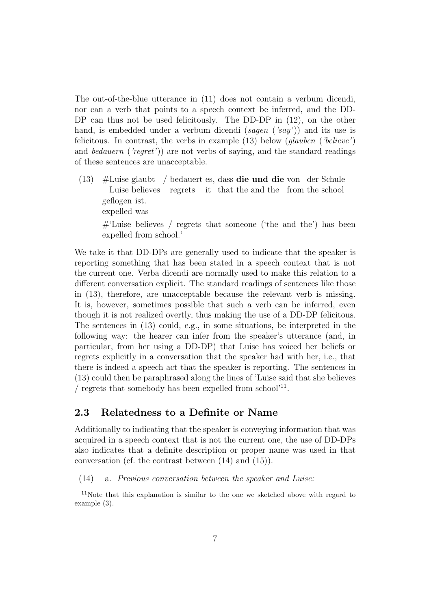The out-of-the-blue utterance in (11) does not contain a verbum dicendi, nor can a verb that points to a speech context be inferred, and the DD-DP can thus not be used felicitously. The DD-DP in  $(12)$ , on the other hand, is embedded under a verbum dicendi (sagen ('say')) and its use is felicitous. In contrast, the verbs in example  $(13)$  below  $(glauben ('believe')$ and *bedauern* ('regret')) are not verbs of saying, and the standard readings of these sentences are unacceptable.

(13) #Luise glaubt / bedauert es, dass die und die von der Schule Luise believes regrets it that the and the from the school geflogen ist. expelled was #'Luise believes / regrets that someone ('the and the') has been expelled from school.'

We take it that DD-DPs are generally used to indicate that the speaker is reporting something that has been stated in a speech context that is not the current one. Verba dicendi are normally used to make this relation to a different conversation explicit. The standard readings of sentences like those in (13), therefore, are unacceptable because the relevant verb is missing. It is, however, sometimes possible that such a verb can be inferred, even though it is not realized overtly, thus making the use of a DD-DP felicitous. The sentences in (13) could, e.g., in some situations, be interpreted in the following way: the hearer can infer from the speaker's utterance (and, in particular, from her using a DD-DP) that Luise has voiced her beliefs or regrets explicitly in a conversation that the speaker had with her, i.e., that there is indeed a speech act that the speaker is reporting. The sentences in (13) could then be paraphrased along the lines of 'Luise said that she believes / regrets that somebody has been expelled from school'<sup>11</sup> .

#### 2.3 Relatedness to a Definite or Name

Additionally to indicating that the speaker is conveying information that was acquired in a speech context that is not the current one, the use of DD-DPs also indicates that a definite description or proper name was used in that conversation (cf. the contrast between (14) and (15)).

(14) a. Previous conversation between the speaker and Luise:

<sup>11</sup>Note that this explanation is similar to the one we sketched above with regard to example (3).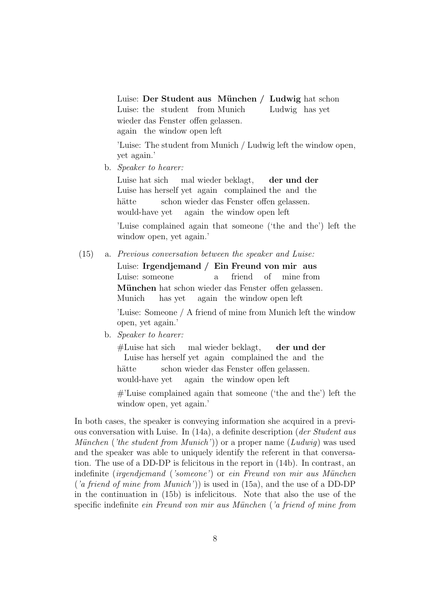Luise: Der Student aus München / Ludwig hat schon Luise: the student from Munich Ludwig has yet wieder das Fenster offen gelassen. again the window open left

'Luise: The student from Munich / Ludwig left the window open, yet again.'

b. Speaker to hearer:

Luise hat sich Luise has herself yet again complained the and the mal wieder beklagt, der und der hätte would-have yet schon wieder das Fenster offen gelassen. again the window open left

'Luise complained again that someone ('the and the') left the window open, yet again.'

(15) a. Previous conversation between the speaker and Luise:

Luise: Irgendjemand / Ein Freund von mir aus Luise: someone a friend of mine from München hat schon wieder das Fenster offen gelassen. Munich has yet again the window open left

'Luise: Someone / A friend of mine from Munich left the window open, yet again.'

b. Speaker to hearer:

#Luise hat sich Luise has herself yet again complained the and the mal wieder beklagt, der und der hätte would-have yet schon wieder das Fenster offen gelassen. again the window open left

#'Luise complained again that someone ('the and the') left the window open, yet again.'

In both cases, the speaker is conveying information she acquired in a previous conversation with Luise. In  $(14a)$ , a definite description (*der Student aus*) München ('the student from Munich')) or a proper name  $(Ludwig)$  was used and the speaker was able to uniquely identify the referent in that conversation. The use of a DD-DP is felicitous in the report in (14b). In contrast, an indefinite (irgendjemand ('someone') or ein Freund von mir aus München ('a friend of mine from Munich')) is used in  $(15a)$ , and the use of a DD-DP in the continuation in (15b) is infelicitous. Note that also the use of the specific indefinite *ein Freund von mir aus München ('a friend of mine from*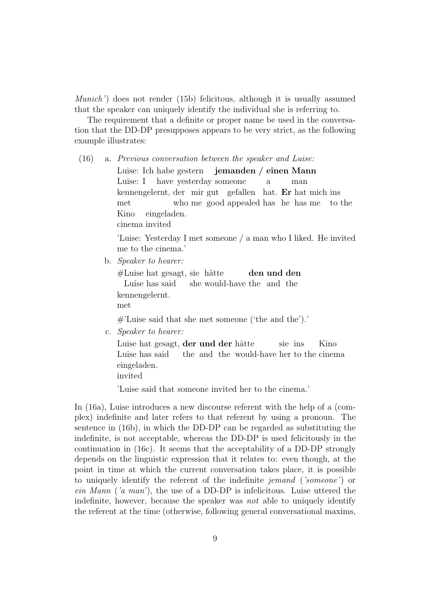Munich') does not render (15b) felicitous, although it is usually assumed that the speaker can uniquely identify the individual she is referring to.

The requirement that a definite or proper name be used in the conversation that the DD-DP presupposes appears to be very strict, as the following example illustrates:

(16) a. Previous conversation between the speaker and Luise:

Luise: Ich habe gestern Luise: I have yesterday someone jemanden / einen Mann a man kennengelernt, der mir gut gefallen hat. Er hat mich ins met who me good appealed has he has me to the Kino cinema invited eingeladen.

'Luise: Yesterday I met someone / a man who I liked. He invited me to the cinema.'

b. Speaker to hearer:

#Luise hat gesagt, sie hätte Luise has said she would-have the and the den und den kennengelernt. met

#'Luise said that she met someone ('the and the').'

c. Speaker to hearer:

Luise hat gesagt, der und der hätte Luise has said the and the would-have her to the cinema sie ins Kino eingeladen. invited

'Luise said that someone invited her to the cinema.'

In (16a), Luise introduces a new discourse referent with the help of a (complex) indefinite and later refers to that referent by using a pronoun. The sentence in (16b), in which the DD-DP can be regarded as substituting the indefinite, is not acceptable, whereas the DD-DP is used felicitously in the continuation in (16c). It seems that the acceptability of a DD-DP strongly depends on the linguistic expression that it relates to: even though, at the point in time at which the current conversation takes place, it is possible to uniquely identify the referent of the indefinite jemand ('someone') or ein Mann ('a man'), the use of a DD-DP is infelicitous. Luise uttered the indefinite, however, because the speaker was not able to uniquely identify the referent at the time (otherwise, following general conversational maxims,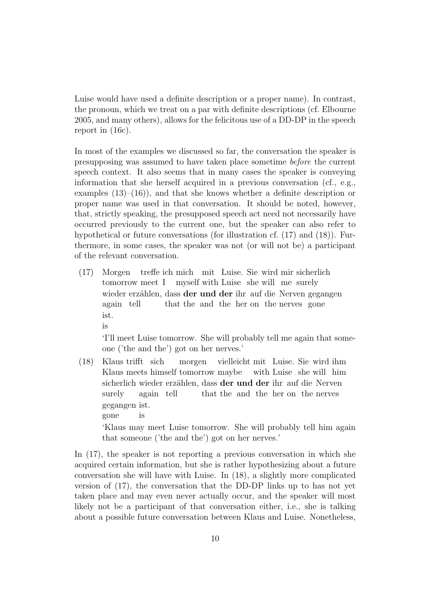Luise would have used a definite description or a proper name). In contrast, the pronoun, which we treat on a par with definite descriptions (cf. Elbourne 2005, and many others), allows for the felicitous use of a DD-DP in the speech report in (16c).

In most of the examples we discussed so far, the conversation the speaker is presupposing was assumed to have taken place sometime before the current speech context. It also seems that in many cases the speaker is conveying information that she herself acquired in a previous conversation (cf., e.g., examples  $(13)$ – $(16)$ ), and that she knows whether a definite description or proper name was used in that conversation. It should be noted, however, that, strictly speaking, the presupposed speech act need not necessarily have occurred previously to the current one, but the speaker can also refer to hypothetical or future conversations (for illustration cf. (17) and (18)). Furthermore, in some cases, the speaker was not (or will not be) a participant of the relevant conversation.

(17) Morgen tomorrow meet I myself with Luise she will me surely treffe ich mich mit Luise. Sie wird mir sicherlich wieder erzählen, dass der und der ihr auf die Nerven gegangen again tell that the and the her on the nerves gone ist. is

'I'll meet Luise tomorrow. She will probably tell me again that someone ('the and the') got on her nerves.'

(18) Klaus trifft sich Klaus meets himself tomorrow maybe morgen vielleicht mit Luise. Sie wird ihm with Luise she will him sicherlich wieder erzählen, dass der und der ihr auf die Nerven surely again tell that the and the her on the nerves gegangen ist. gone is 'Klaus may meet Luise tomorrow. She will probably tell him again that someone ('the and the') got on her nerves.'

In (17), the speaker is not reporting a previous conversation in which she acquired certain information, but she is rather hypothesizing about a future conversation she will have with Luise. In (18), a slightly more complicated version of (17), the conversation that the DD-DP links up to has not yet taken place and may even never actually occur, and the speaker will most likely not be a participant of that conversation either, i.e., she is talking about a possible future conversation between Klaus and Luise. Nonetheless,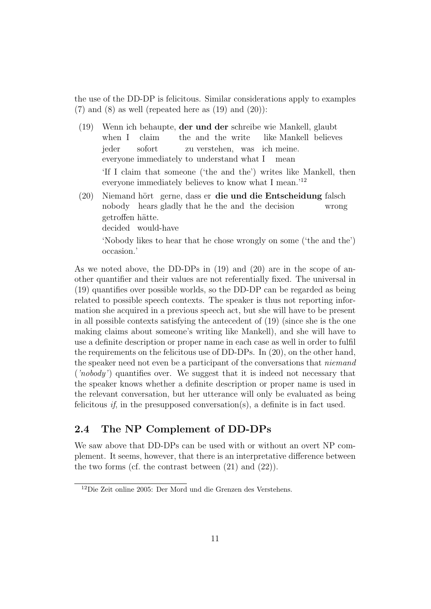the use of the DD-DP is felicitous. Similar considerations apply to examples  $(7)$  and  $(8)$  as well (repeated here as  $(19)$  and  $(20)$ ):

- (19) Wenn ich behaupte, der und der schreibe wie Mankell, glaubt when I claim the and the write like Mankell believes jeder everyone immediately to understand what I sofort zu verstehen, was ich meine. mean 'If I claim that someone ('the and the') writes like Mankell, then everyone immediately believes to know what I mean.'<sup>12</sup>
- (20) Niemand hört gerne, dass er die und die Entscheidung falsch nobody hears gladly that he the and the decision wrong getroffen hätte. decided would-have 'Nobody likes to hear that he chose wrongly on some ('the and the') occasion.'

As we noted above, the DD-DPs in (19) and (20) are in the scope of another quantifier and their values are not referentially fixed. The universal in (19) quantifies over possible worlds, so the DD-DP can be regarded as being related to possible speech contexts. The speaker is thus not reporting information she acquired in a previous speech act, but she will have to be present in all possible contexts satisfying the antecedent of (19) (since she is the one making claims about someone's writing like Mankell), and she will have to use a definite description or proper name in each case as well in order to fulfil the requirements on the felicitous use of DD-DPs. In (20), on the other hand, the speaker need not even be a participant of the conversations that *niemand* ('nobody') quantifies over. We suggest that it is indeed not necessary that the speaker knows whether a definite description or proper name is used in the relevant conversation, but her utterance will only be evaluated as being felicitous *if*, in the presupposed conversation(s), a definite is in fact used.

### 2.4 The NP Complement of DD-DPs

We saw above that DD-DPs can be used with or without an overt NP complement. It seems, however, that there is an interpretative difference between the two forms (cf. the contrast between  $(21)$  and  $(22)$ ).

<sup>12</sup>Die Zeit online 2005: Der Mord und die Grenzen des Verstehens.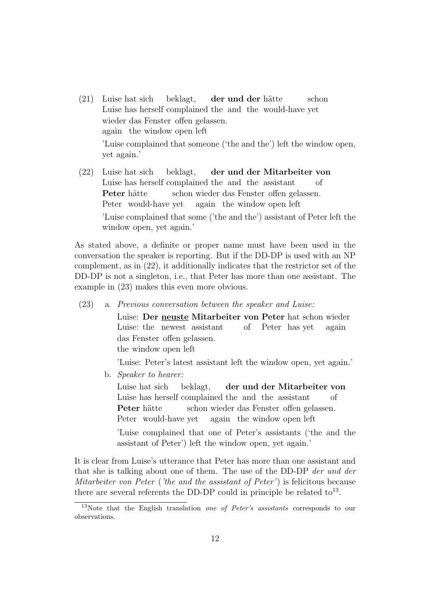- (21) Luise hat sich Luise has herself complained the and the would-have yet beklagt, der und der hätte schon wieder das Fenster offen gelassen. again the window open left 'Luise complained that someone ('the and the') left the window open, yet again.'
- (22) Luise hat sich Luise has herself complained the and the assistant beklagt, der und der Mitarbeiter von of Peter hätte Peter would-have yet schon wieder das Fenster offen gelassen. again the window open left 'Luise complained that some ('the and the') assistant of Peter left the window open, yet again.'

As stated above, a definite or proper name must have been used in the conversation the speaker is reporting. But if the DD-DP is used with an NP complement, as in (22), it additionally indicates that the restrictor set of the DD-DP is not a singleton, i.e., that Peter has more than one assistant. The example in (23) makes this even more obvious.

(23) a. Previous conversation between the speaker and Luise: Luise: Der neuste Mitarbeiter von Peter hat schon wieder Luise: the newest assistant of Peter has yet again das Fenster offen gelassen. the window open left

'Luise: Peter's latest assistant left the window open, yet again.'

b. Speaker to hearer:

Luise hat sich Luise has herself complained the and the assistant beklagt, der und der Mitarbeiter von of Peter hätte Peter would-have yet schon wieder das Fenster offen gelassen. again the window open left

'Luise complained that one of Peter's assistants ('the and the assistant of Peter') left the window open, yet again.'

It is clear from Luise's utterance that Peter has more than one assistant and that she is talking about one of them. The use of the DD-DP der und der Mitarbeiter von Peter ('the and the assistant of Peter') is felicitous because there are several referents the DD-DP could in principle be related  $\text{to}^{13}$ .

<sup>&</sup>lt;sup>13</sup>Note that the English translation *one of Peter's assistants* corresponds to our observations.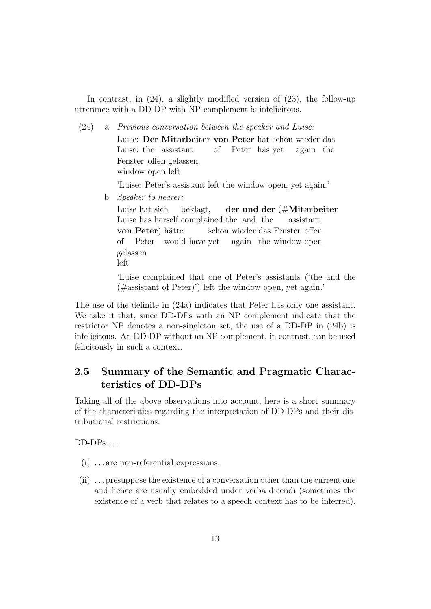In contrast, in (24), a slightly modified version of (23), the follow-up utterance with a DD-DP with NP-complement is infelicitous.

(24) a. Previous conversation between the speaker and Luise:

Luise: Der Mitarbeiter von Peter hat schon wieder das Luise: the assistant of Peter has yet again the Fenster offen gelassen. window open left

'Luise: Peter's assistant left the window open, yet again.'

b. Speaker to hearer:

Luise hat sich Luise has herself complained the and the beklagt, der und der (#Mitarbeiter assistant von Peter) hätte of Peter would-have yet schon wieder das Fenster offen again the window open gelassen. left

'Luise complained that one of Peter's assistants ('the and the (#assistant of Peter)') left the window open, yet again.'

The use of the definite in (24a) indicates that Peter has only one assistant. We take it that, since DD-DPs with an NP complement indicate that the restrictor NP denotes a non-singleton set, the use of a DD-DP in (24b) is infelicitous. An DD-DP without an NP complement, in contrast, can be used felicitously in such a context.

## 2.5 Summary of the Semantic and Pragmatic Characteristics of DD-DPs

Taking all of the above observations into account, here is a short summary of the characteristics regarding the interpretation of DD-DPs and their distributional restrictions:

 $DD-DPs...$ 

- (i) . . . are non-referential expressions.
- (ii) . . . presuppose the existence of a conversation other than the current one and hence are usually embedded under verba dicendi (sometimes the existence of a verb that relates to a speech context has to be inferred).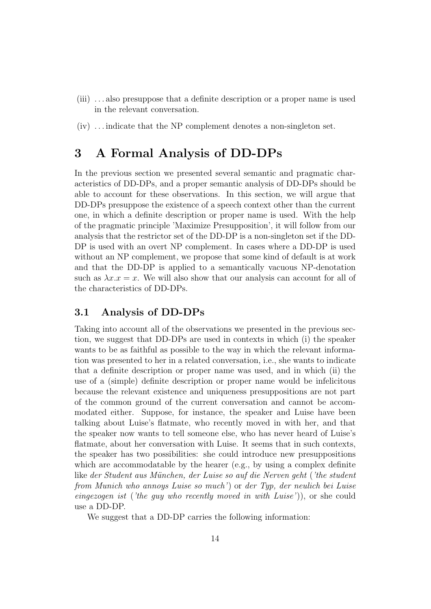- (iii) . . . also presuppose that a definite description or a proper name is used in the relevant conversation.
- (iv) . . . indicate that the NP complement denotes a non-singleton set.

# 3 A Formal Analysis of DD-DPs

In the previous section we presented several semantic and pragmatic characteristics of DD-DPs, and a proper semantic analysis of DD-DPs should be able to account for these observations. In this section, we will argue that DD-DPs presuppose the existence of a speech context other than the current one, in which a definite description or proper name is used. With the help of the pragmatic principle 'Maximize Presupposition', it will follow from our analysis that the restrictor set of the DD-DP is a non-singleton set if the DD-DP is used with an overt NP complement. In cases where a DD-DP is used without an NP complement, we propose that some kind of default is at work and that the DD-DP is applied to a semantically vacuous NP-denotation such as  $\lambda x.x = x$ . We will also show that our analysis can account for all of the characteristics of DD-DPs.

#### 3.1 Analysis of DD-DPs

Taking into account all of the observations we presented in the previous section, we suggest that DD-DPs are used in contexts in which (i) the speaker wants to be as faithful as possible to the way in which the relevant information was presented to her in a related conversation, i.e., she wants to indicate that a definite description or proper name was used, and in which (ii) the use of a (simple) definite description or proper name would be infelicitous because the relevant existence and uniqueness presuppositions are not part of the common ground of the current conversation and cannot be accommodated either. Suppose, for instance, the speaker and Luise have been talking about Luise's flatmate, who recently moved in with her, and that the speaker now wants to tell someone else, who has never heard of Luise's flatmate, about her conversation with Luise. It seems that in such contexts, the speaker has two possibilities: she could introduce new presuppositions which are accommodatable by the hearer (e.g., by using a complex definite like der Student aus München, der Luise so auf die Nerven geht ('the student from Munich who annoys Luise so much') or der Typ, der neulich bei Luise eingezogen ist ('the guy who recently moved in with Luise')), or she could use a DD-DP.

We suggest that a DD-DP carries the following information: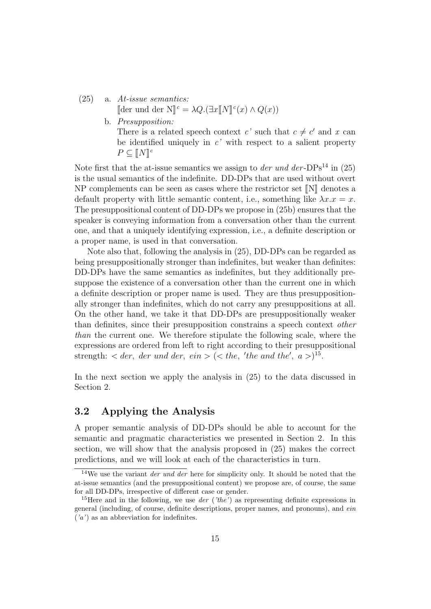#### (25) a. At-issue semantics:

[der und der N]<sup>c</sup> =  $\lambda Q.(\exists x \llbracket N \rrbracket^c(x) \wedge Q(x))$ 

b. Presupposition: There is a related speech context c' such that  $c \neq c'$  and x can be identified uniquely in  $c'$  with respect to a salient property  $P \subseteq [N]^c$ 

Note first that the at-issue semantics we assign to *der und der-* $DPs<sup>14</sup>$  in (25) is the usual semantics of the indefinite. DD-DPs that are used without overt  $NP$  complements can be seen as cases where the restrictor set  $[N]$  denotes a default property with little semantic content, i.e., something like  $\lambda x.x = x$ . The presuppositional content of DD-DPs we propose in (25b) ensures that the speaker is conveying information from a conversation other than the current one, and that a uniquely identifying expression, i.e., a definite description or a proper name, is used in that conversation.

Note also that, following the analysis in (25), DD-DPs can be regarded as being presuppositionally stronger than indefinites, but weaker than definites: DD-DPs have the same semantics as indefinites, but they additionally presuppose the existence of a conversation other than the current one in which a definite description or proper name is used. They are thus presuppositionally stronger than indefinites, which do not carry any presuppositions at all. On the other hand, we take it that DD-DPs are presuppositionally weaker than definites, since their presupposition constrains a speech context other than the current one. We therefore stipulate the following scale, where the expressions are ordered from left to right according to their presuppositional strength:  $\langle$  der, der und der, ein  $\rangle$  ( $\langle$  the, 'the and the', a  $\rangle$ )<sup>15</sup>.

In the next section we apply the analysis in (25) to the data discussed in Section 2.

#### 3.2 Applying the Analysis

A proper semantic analysis of DD-DPs should be able to account for the semantic and pragmatic characteristics we presented in Section 2. In this section, we will show that the analysis proposed in (25) makes the correct predictions, and we will look at each of the characteristics in turn.

<sup>&</sup>lt;sup>14</sup>We use the variant *der und der* here for simplicity only. It should be noted that the at-issue semantics (and the presuppositional content) we propose are, of course, the same for all DD-DPs, irrespective of different case or gender.

<sup>&</sup>lt;sup>15</sup>Here and in the following, we use *der* (*'the'*) as representing definite expressions in general (including, of course, definite descriptions, proper names, and pronouns), and ein  $(a')$  as an abbreviation for indefinites.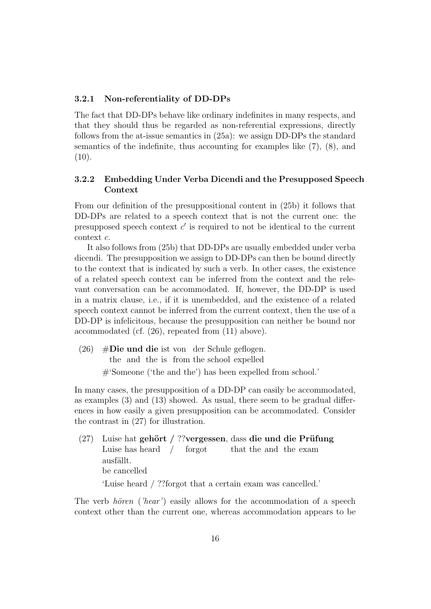#### 3.2.1 Non-referentiality of DD-DPs

The fact that DD-DPs behave like ordinary indefinites in many respects, and that they should thus be regarded as non-referential expressions, directly follows from the at-issue semantics in (25a): we assign DD-DPs the standard semantics of the indefinite, thus accounting for examples like (7), (8), and  $(10).$ 

#### 3.2.2 Embedding Under Verba Dicendi and the Presupposed Speech Context

From our definition of the presuppositional content in (25b) it follows that DD-DPs are related to a speech context that is not the current one: the presupposed speech context  $c'$  is required to not be identical to the current context c.

It also follows from (25b) that DD-DPs are usually embedded under verba dicendi. The presupposition we assign to DD-DPs can then be bound directly to the context that is indicated by such a verb. In other cases, the existence of a related speech context can be inferred from the context and the relevant conversation can be accommodated. If, however, the DD-DP is used in a matrix clause, i.e., if it is unembedded, and the existence of a related speech context cannot be inferred from the current context, then the use of a DD-DP is infelicitous, because the presupposition can neither be bound nor accommodated (cf. (26), repeated from (11) above).

(26) #Die und die ist von der Schule geflogen. the and the is from the school expelled #'Someone ('the and the') has been expelled from school.'

In many cases, the presupposition of a DD-DP can easily be accommodated, as examples (3) and (13) showed. As usual, there seem to be gradual differences in how easily a given presupposition can be accommodated. Consider the contrast in (27) for illustration.

(27) Luise hat gehört / ??vergessen, dass die und die Prüfung Luise has heard / forgot that the and the exam ausfällt. be cancelled 'Luise heard / ??forgot that a certain exam was cancelled.'

The verb *hören* ('hear') easily allows for the accommodation of a speech context other than the current one, whereas accommodation appears to be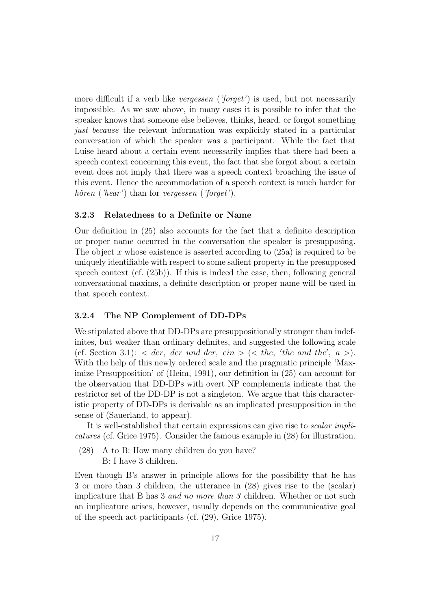more difficult if a verb like *vergessen ('forget'*) is used, but not necessarily impossible. As we saw above, in many cases it is possible to infer that the speaker knows that someone else believes, thinks, heard, or forgot something just because the relevant information was explicitly stated in a particular conversation of which the speaker was a participant. While the fact that Luise heard about a certain event necessarily implies that there had been a speech context concerning this event, the fact that she forgot about a certain event does not imply that there was a speech context broaching the issue of this event. Hence the accommodation of a speech context is much harder for *hören* ('hear') than for vergessen ('forget').

#### 3.2.3 Relatedness to a Definite or Name

Our definition in (25) also accounts for the fact that a definite description or proper name occurred in the conversation the speaker is presupposing. The object x whose existence is asserted according to  $(25a)$  is required to be uniquely identifiable with respect to some salient property in the presupposed speech context (cf. (25b)). If this is indeed the case, then, following general conversational maxims, a definite description or proper name will be used in that speech context.

#### 3.2.4 The NP Complement of DD-DPs

We stipulated above that DD-DPs are presuppositionally stronger than indefinites, but weaker than ordinary definites, and suggested the following scale (cf. Section 3.1):  $\langle$  der, der und der, ein  $\rangle$  ( $\langle$  the, 'the and the', a  $\rangle$ ). With the help of this newly ordered scale and the pragmatic principle 'Maximize Presupposition' of (Heim, 1991), our definition in (25) can account for the observation that DD-DPs with overt NP complements indicate that the restrictor set of the DD-DP is not a singleton. We argue that this characteristic property of DD-DPs is derivable as an implicated presupposition in the sense of (Sauerland, to appear).

It is well-established that certain expressions can give rise to scalar implicatures (cf. Grice 1975). Consider the famous example in (28) for illustration.

- (28) A to B: How many children do you have?
	- B: I have 3 children.

Even though B's answer in principle allows for the possibility that he has 3 or more than 3 children, the utterance in (28) gives rise to the (scalar) implicature that B has 3 and no more than 3 children. Whether or not such an implicature arises, however, usually depends on the communicative goal of the speech act participants (cf. (29), Grice 1975).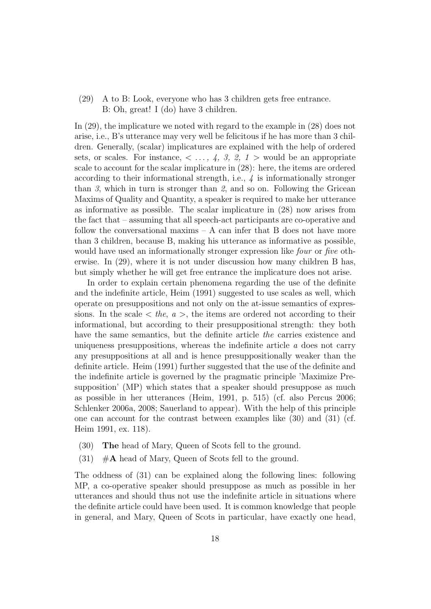(29) A to B: Look, everyone who has 3 children gets free entrance. B: Oh, great! I (do) have 3 children.

In (29), the implicature we noted with regard to the example in (28) does not arise, i.e., B's utterance may very well be felicitous if he has more than 3 children. Generally, (scalar) implicatures are explained with the help of ordered sets, or scales. For instance,  $\langle \ldots, 4, 3, 2, 1 \rangle$  would be an appropriate scale to account for the scalar implicature in (28): here, the items are ordered according to their informational strength, i.e., 4 is informationally stronger than 3, which in turn is stronger than 2, and so on. Following the Gricean Maxims of Quality and Quantity, a speaker is required to make her utterance as informative as possible. The scalar implicature in (28) now arises from the fact that – assuming that all speech-act participants are co-operative and follow the conversational maxims – A can infer that B does not have more than 3 children, because B, making his utterance as informative as possible, would have used an informationally stronger expression like *four* or *five* otherwise. In (29), where it is not under discussion how many children B has, but simply whether he will get free entrance the implicature does not arise.

In order to explain certain phenomena regarding the use of the definite and the indefinite article, Heim (1991) suggested to use scales as well, which operate on presuppositions and not only on the at-issue semantics of expressions. In the scale  $\langle$  the,  $a \rangle$ , the items are ordered not according to their informational, but according to their presuppositional strength: they both have the same semantics, but the definite article the carries existence and uniqueness presuppositions, whereas the indefinite article  $a$  does not carry any presuppositions at all and is hence presuppositionally weaker than the definite article. Heim (1991) further suggested that the use of the definite and the indefinite article is governed by the pragmatic principle 'Maximize Presupposition' (MP) which states that a speaker should presuppose as much as possible in her utterances (Heim, 1991, p. 515) (cf. also Percus 2006; Schlenker 2006a, 2008; Sauerland to appear). With the help of this principle one can account for the contrast between examples like (30) and (31) (cf. Heim 1991, ex. 118).

- (30) The head of Mary, Queen of Scots fell to the ground.
- $(31)$  #A head of Mary, Queen of Scots fell to the ground.

The oddness of (31) can be explained along the following lines: following MP, a co-operative speaker should presuppose as much as possible in her utterances and should thus not use the indefinite article in situations where the definite article could have been used. It is common knowledge that people in general, and Mary, Queen of Scots in particular, have exactly one head,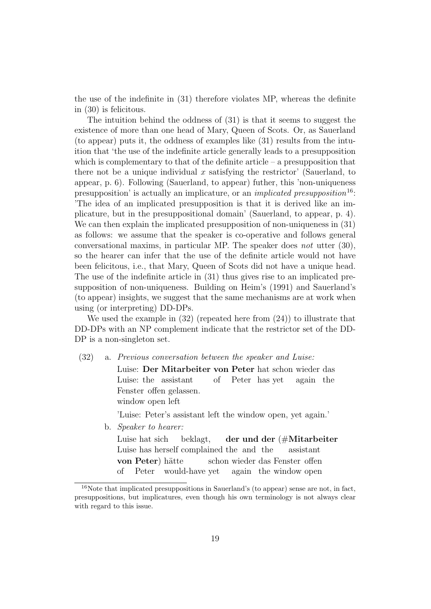the use of the indefinite in (31) therefore violates MP, whereas the definite in (30) is felicitous.

The intuition behind the oddness of (31) is that it seems to suggest the existence of more than one head of Mary, Queen of Scots. Or, as Sauerland (to appear) puts it, the oddness of examples like (31) results from the intuition that 'the use of the indefinite article generally leads to a presupposition which is complementary to that of the definite article  $-$  a presupposition that there not be a unique individual x satisfying the restrictor' (Sauerland, to appear, p. 6). Following (Sauerland, to appear) futher, this 'non-uniqueness presupposition' is actually an implicature, or an *implicated presupposition*<sup>16</sup>: 'The idea of an implicated presupposition is that it is derived like an implicature, but in the presuppositional domain' (Sauerland, to appear, p. 4). We can then explain the implicated presupposition of non-uniqueness in (31) as follows: we assume that the speaker is co-operative and follows general conversational maxims, in particular MP. The speaker does *not* utter  $(30)$ , so the hearer can infer that the use of the definite article would not have been felicitous, i.e., that Mary, Queen of Scots did not have a unique head. The use of the indefinite article in (31) thus gives rise to an implicated presupposition of non-uniqueness. Building on Heim's (1991) and Sauerland's (to appear) insights, we suggest that the same mechanisms are at work when using (or interpreting) DD-DPs.

We used the example in  $(32)$  (repeated here from  $(24)$ ) to illustrate that DD-DPs with an NP complement indicate that the restrictor set of the DD-DP is a non-singleton set.

(32) a. Previous conversation between the speaker and Luise:

Luise: Der Mitarbeiter von Peter hat schon wieder das Luise: the assistant of Peter has yet again the Fenster offen gelassen. window open left

'Luise: Peter's assistant left the window open, yet again.'

b. Speaker to hearer:

Luise hat sich Luise has herself complained the and the beklagt, der und der (#Mitarbeiter assistant von Peter) hätte of Peter would-have yet schon wieder das Fenster offen again the window open

<sup>16</sup>Note that implicated presuppositions in Sauerland's (to appear) sense are not, in fact, presuppositions, but implicatures, even though his own terminology is not always clear with regard to this issue.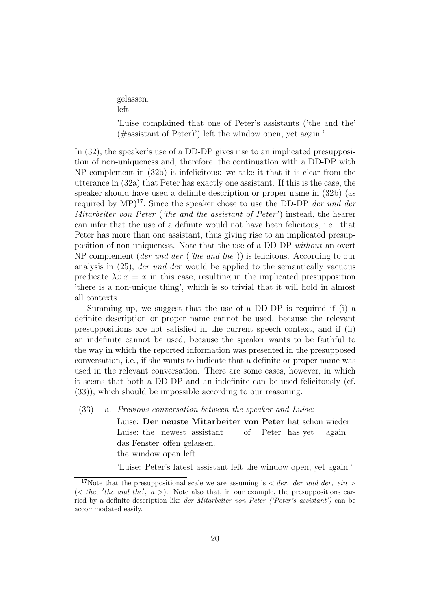gelassen. left

'Luise complained that one of Peter's assistants ('the and the' (#assistant of Peter)') left the window open, yet again.'

In (32), the speaker's use of a DD-DP gives rise to an implicated presupposition of non-uniqueness and, therefore, the continuation with a DD-DP with NP-complement in (32b) is infelicitous: we take it that it is clear from the utterance in (32a) that Peter has exactly one assistant. If this is the case, the speaker should have used a definite description or proper name in (32b) (as required by  $MP)^{17}$ . Since the speaker chose to use the DD-DP der und der Mitarbeiter von Peter ('the and the assistant of Peter') instead, the hearer can infer that the use of a definite would not have been felicitous, i.e., that Peter has more than one assistant, thus giving rise to an implicated presupposition of non-uniqueness. Note that the use of a DD-DP without an overt NP complement (der und der ('the and the')) is felicitous. According to our analysis in (25), der und der would be applied to the semantically vacuous predicate  $\lambda x \cdot x = x$  in this case, resulting in the implicated presupposition 'there is a non-unique thing', which is so trivial that it will hold in almost all contexts.

Summing up, we suggest that the use of a DD-DP is required if (i) a definite description or proper name cannot be used, because the relevant presuppositions are not satisfied in the current speech context, and if (ii) an indefinite cannot be used, because the speaker wants to be faithful to the way in which the reported information was presented in the presupposed conversation, i.e., if she wants to indicate that a definite or proper name was used in the relevant conversation. There are some cases, however, in which it seems that both a DD-DP and an indefinite can be used felicitously (cf. (33)), which should be impossible according to our reasoning.

(33) a. Previous conversation between the speaker and Luise:

Luise: Der neuste Mitarbeiter von Peter hat schon wieder Luise: the newest assistant of Peter has yet again das Fenster offen gelassen. the window open left

'Luise: Peter's latest assistant left the window open, yet again.'

<sup>&</sup>lt;sup>17</sup>Note that the presuppositional scale we are assuming is  $\langle$  der, der und der, ein  $\rangle$  $(*the*, 'the and the', a >).$  Note also that, in our example, the presuppositions carried by a definite description like der Mitarbeiter von Peter ('Peter's assistant') can be accommodated easily.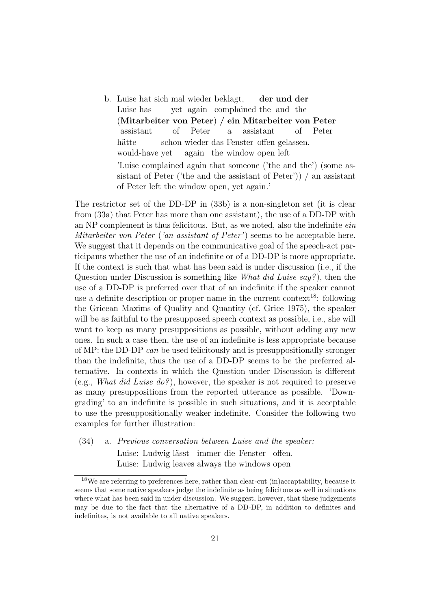b. Luise hat sich mal wieder beklagt, Luise has yet again complained the and the der und der (Mitarbeiter von Peter) / ein Mitarbeiter von Peter assistant of Peter a assistant of Peter hätte would-have yet schon wieder das Fenster offen gelassen. again the window open left 'Luise complained again that someone ('the and the') (some assistant of Peter ('the and the assistant of Peter')) / an assistant of Peter left the window open, yet again.'

The restrictor set of the DD-DP in (33b) is a non-singleton set (it is clear from (33a) that Peter has more than one assistant), the use of a DD-DP with an NP complement is thus felicitous. But, as we noted, also the indefinite ein Mitarbeiter von Peter ('an assistant of Peter') seems to be acceptable here. We suggest that it depends on the communicative goal of the speech-act participants whether the use of an indefinite or of a DD-DP is more appropriate. If the context is such that what has been said is under discussion (i.e., if the Question under Discussion is something like What did Luise say? ), then the use of a DD-DP is preferred over that of an indefinite if the speaker cannot use a definite description or proper name in the current context<sup>18</sup>: following the Gricean Maxims of Quality and Quantity (cf. Grice 1975), the speaker will be as faithful to the presupposed speech context as possible, i.e., she will want to keep as many presuppositions as possible, without adding any new ones. In such a case then, the use of an indefinite is less appropriate because of MP: the DD-DP can be used felicitously and is presuppositionally stronger than the indefinite, thus the use of a DD-DP seems to be the preferred alternative. In contexts in which the Question under Discussion is different (e.g., What did Luise do?), however, the speaker is not required to preserve as many presuppositions from the reported utterance as possible. 'Downgrading' to an indefinite is possible in such situations, and it is acceptable to use the presuppositionally weaker indefinite. Consider the following two examples for further illustration:

(34) a. Previous conversation between Luise and the speaker: Luise: Ludwig lässt immer die Fenster offen.

Luise: Ludwig leaves always the windows open

<sup>18</sup>We are referring to preferences here, rather than clear-cut (in)accaptability, because it seems that some native speakers judge the indefinite as being felicitous as well in situations where what has been said in under discussion. We suggest, however, that these judgements may be due to the fact that the alternative of a DD-DP, in addition to definites and indefinites, is not available to all native speakers.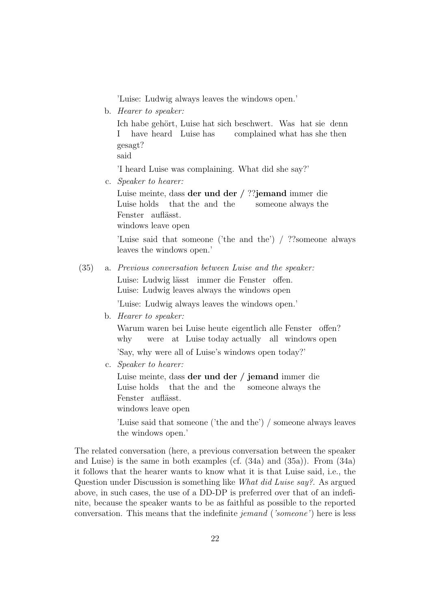'Luise: Ludwig always leaves the windows open.'

b. Hearer to speaker:

Ich habe gehört, Luise hat sich beschwert. Was hat sie denn I have heard Luise has complained what has she then gesagt?

said

'I heard Luise was complaining. What did she say?'

c. Speaker to hearer:

Luise meinte, dass der und der / ??jemand immer die Luise holds that the and the someone always the Fenster auflässt. windows leave open

'Luise said that someone ('the and the') / ??someone always leaves the windows open.'

#### (35) a. Previous conversation between Luise and the speaker:

Luise: Ludwig lässt immer die Fenster offen. Luise: Ludwig leaves always the windows open

'Luise: Ludwig always leaves the windows open.'

b. Hearer to speaker:

Warum waren bei Luise heute eigentlich alle Fenster offen? why were at Luise today actually all windows open

'Say, why were all of Luise's windows open today?'

c. Speaker to hearer:

Luise meinte, dass **der und der / jemand** immer die Luise holds that the and the someone always the Fenster auflässt.

windows leave open

'Luise said that someone ('the and the') / someone always leaves the windows open.'

The related conversation (here, a previous conversation between the speaker and Luise) is the same in both examples (cf. (34a) and (35a)). From (34a) it follows that the hearer wants to know what it is that Luise said, i.e., the Question under Discussion is something like What did Luise say?. As argued above, in such cases, the use of a DD-DP is preferred over that of an indefinite, because the speaker wants to be as faithful as possible to the reported conversation. This means that the indefinite jemand ('someone') here is less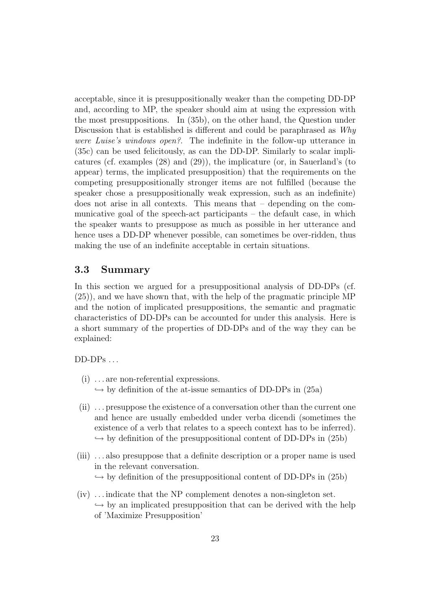acceptable, since it is presuppositionally weaker than the competing DD-DP and, according to MP, the speaker should aim at using the expression with the most presuppositions. In (35b), on the other hand, the Question under Discussion that is established is different and could be paraphrased as Why were Luise's windows open?. The indefinite in the follow-up utterance in (35c) can be used felicitously, as can the DD-DP. Similarly to scalar implicatures (cf. examples (28) and (29)), the implicature (or, in Sauerland's (to appear) terms, the implicated presupposition) that the requirements on the competing presuppositionally stronger items are not fulfilled (because the speaker chose a presuppositionally weak expression, such as an indefinite) does not arise in all contexts. This means that – depending on the communicative goal of the speech-act participants – the default case, in which the speaker wants to presuppose as much as possible in her utterance and hence uses a DD-DP whenever possible, can sometimes be over-ridden, thus making the use of an indefinite acceptable in certain situations.

#### 3.3 Summary

In this section we argued for a presuppositional analysis of DD-DPs (cf. (25)), and we have shown that, with the help of the pragmatic principle MP and the notion of implicated presuppositions, the semantic and pragmatic characteristics of DD-DPs can be accounted for under this analysis. Here is a short summary of the properties of DD-DPs and of the way they can be explained:

 $DD-DPs...$ 

- (i) . . . are non-referential expressions.  $\hookrightarrow$  by definition of the at-issue semantics of DD-DPs in (25a)
- (ii) . . . presuppose the existence of a conversation other than the current one and hence are usually embedded under verba dicendi (sometimes the existence of a verb that relates to a speech context has to be inferred).  $\hookrightarrow$  by definition of the presuppositional content of DD-DPs in (25b)
- (iii) . . . also presuppose that a definite description or a proper name is used in the relevant conversation.  $\hookrightarrow$  by definition of the presuppositional content of DD-DPs in (25b)
- (iv) . . . indicate that the NP complement denotes a non-singleton set.  $\hookrightarrow$  by an implicated presupposition that can be derived with the help of 'Maximize Presupposition'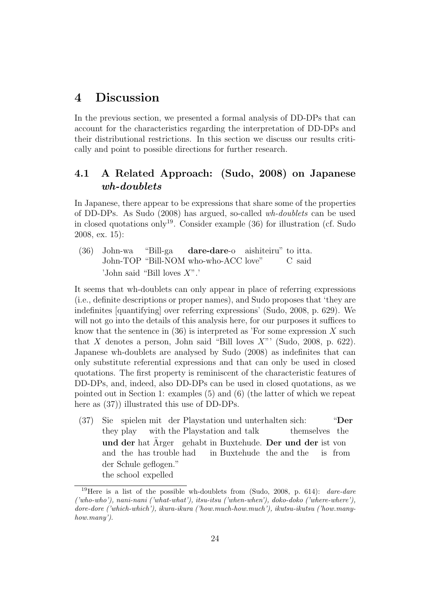## 4 Discussion

In the previous section, we presented a formal analysis of DD-DPs that can account for the characteristics regarding the interpretation of DD-DPs and their distributional restrictions. In this section we discuss our results critically and point to possible directions for further research.

## 4.1 A Related Approach: (Sudo, 2008) on Japanese wh-doublets

In Japanese, there appear to be expressions that share some of the properties of DD-DPs. As Sudo (2008) has argued, so-called wh-doublets can be used in closed quotations only<sup>19</sup>. Consider example  $(36)$  for illustration (cf. Sudo 2008, ex. 15):

(36) John-wa John-TOP "Bill-NOM who-who-ACC love" "Bill-ga dare-dare-o aishiteiru" to itta. C said 'John said "Bill loves X".'

It seems that wh-doublets can only appear in place of referring expressions (i.e., definite descriptions or proper names), and Sudo proposes that 'they are indefinites [quantifying] over referring expressions' (Sudo, 2008, p. 629). We will not go into the details of this analysis here, for our purposes it suffices to know that the sentence in  $(36)$  is interpreted as 'For some expression X such that X denotes a person, John said "Bill loves  $X$ "' (Sudo, 2008, p. 622). Japanese wh-doublets are analysed by Sudo (2008) as indefinites that can only substitute referential expressions and that can only be used in closed quotations. The first property is reminiscent of the characteristic features of DD-DPs, and, indeed, also DD-DPs can be used in closed quotations, as we pointed out in Section 1: examples (5) and (6) (the latter of which we repeat here as  $(37)$ ) illustrated this use of DD-DPs.

 $(37)$ they play spielen mit der Playstation und unterhalten sich: with the Playstation and talk themselves the "Der und der hat Ärger gehabt in Buxtehude. Der und der ist von and the has trouble had in Buxtehude the and the is from der Schule geflogen." the school expelled

<sup>&</sup>lt;sup>19</sup>Here is a list of the possible wh-doublets from (Sudo, 2008, p. 614): *dare-dare* ('who-who'), nani-nani ('what-what'), itsu-itsu ('when-when'), doko-doko ('where-where'), dore-dore ('which-which'), ikura-ikura ('how.much-how.much'), ikutsu-ikutsu ('how.manyhow.many').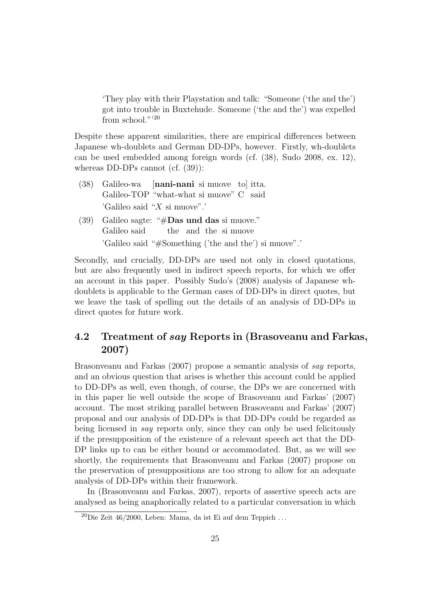'They play with their Playstation and talk: "Someone ('the and the') got into trouble in Buxtehude. Someone ('the and the') was expelled from school."<sup>20</sup>

Despite these apparent similarities, there are empirical differences between Japanese wh-doublets and German DD-DPs, however. Firstly, wh-doublets can be used embedded among foreign words (cf. (38), Sudo 2008, ex. 12), whereas DD-DPs cannot (cf. (39)):

- (38) Galileo-wa Galileo-TOP "what-what si muove" C said [nani-nani si muove to] itta. 'Galileo said "X si muove".'
- (39) Galileo sagte: " $#$ Das und das si muove." Galileo said the and the si muove 'Galileo said "#Something ('the and the') si muove".'

Secondly, and crucially, DD-DPs are used not only in closed quotations, but are also frequently used in indirect speech reports, for which we offer an account in this paper. Possibly Sudo's (2008) analysis of Japanese whdoublets is applicable to the German cases of DD-DPs in direct quotes, but we leave the task of spelling out the details of an analysis of DD-DPs in direct quotes for future work.

## 4.2 Treatment of say Reports in (Brasoveanu and Farkas, 2007)

Brasonveanu and Farkas (2007) propose a semantic analysis of say reports, and an obvious question that arises is whether this account could be applied to DD-DPs as well, even though, of course, the DPs we are concerned with in this paper lie well outside the scope of Brasoveanu and Farkas' (2007) account. The most striking parallel between Brasoveanu and Farkas' (2007) proposal and our analysis of DD-DPs is that DD-DPs could be regarded as being licensed in say reports only, since they can only be used felicitously if the presupposition of the existence of a relevant speech act that the DD-DP links up to can be either bound or accommodated. But, as we will see shortly, the requirements that Brasonveanu and Farkas (2007) propose on the preservation of presuppositions are too strong to allow for an adequate analysis of DD-DPs within their framework.

In (Brasonveanu and Farkas, 2007), reports of assertive speech acts are analysed as being anaphorically related to a particular conversation in which

<sup>&</sup>lt;sup>20</sup>Die Zeit 46/2000, Leben: Mama, da ist Ei auf dem Teppich ...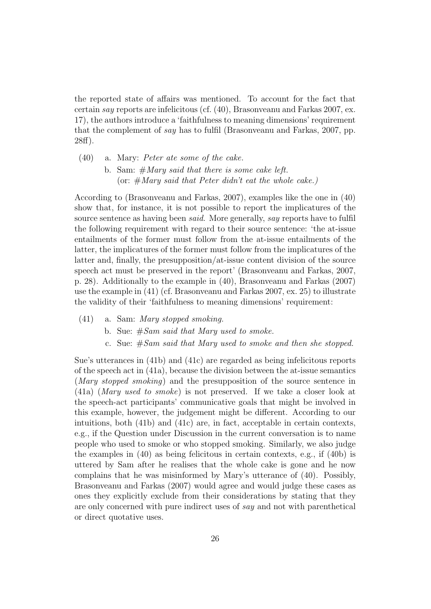the reported state of affairs was mentioned. To account for the fact that certain say reports are infelicitous (cf. (40), Brasonveanu and Farkas 2007, ex. 17), the authors introduce a 'faithfulness to meaning dimensions' requirement that the complement of say has to fulfil (Brasonveanu and Farkas, 2007, pp. 28ff).

- (40) a. Mary: Peter ate some of the cake.
	- b. Sam:  $#Mary$  said that there is some cake left. (or:  $# Mary said that Peter didn't eat the whole cake.$ )

According to (Brasonveanu and Farkas, 2007), examples like the one in (40) show that, for instance, it is not possible to report the implicatures of the source sentence as having been *said*. More generally, *say* reports have to fulfil the following requirement with regard to their source sentence: 'the at-issue entailments of the former must follow from the at-issue entailments of the latter, the implicatures of the former must follow from the implicatures of the latter and, finally, the presupposition/at-issue content division of the source speech act must be preserved in the report' (Brasonveanu and Farkas, 2007, p. 28). Additionally to the example in (40), Brasonveanu and Farkas (2007) use the example in (41) (cf. Brasonveanu and Farkas 2007, ex. 25) to illustrate the validity of their 'faithfulness to meaning dimensions' requirement:

- (41) a. Sam: Mary stopped smoking.
	- b. Sue:  $#Sam \ said \ that \ Mary \ used \ to \ smoke.$
	- c. Sue: #Sam said that Mary used to smoke and then she stopped.

Sue's utterances in (41b) and (41c) are regarded as being infelicitous reports of the speech act in (41a), because the division between the at-issue semantics (*Mary stopped smoking*) and the presupposition of the source sentence in (41a) (Mary used to smoke) is not preserved. If we take a closer look at the speech-act participants' communicative goals that might be involved in this example, however, the judgement might be different. According to our intuitions, both (41b) and (41c) are, in fact, acceptable in certain contexts, e.g., if the Question under Discussion in the current conversation is to name people who used to smoke or who stopped smoking. Similarly, we also judge the examples in (40) as being felicitous in certain contexts, e.g., if (40b) is uttered by Sam after he realises that the whole cake is gone and he now complains that he was misinformed by Mary's utterance of (40). Possibly, Brasonveanu and Farkas (2007) would agree and would judge these cases as ones they explicitly exclude from their considerations by stating that they are only concerned with pure indirect uses of say and not with parenthetical or direct quotative uses.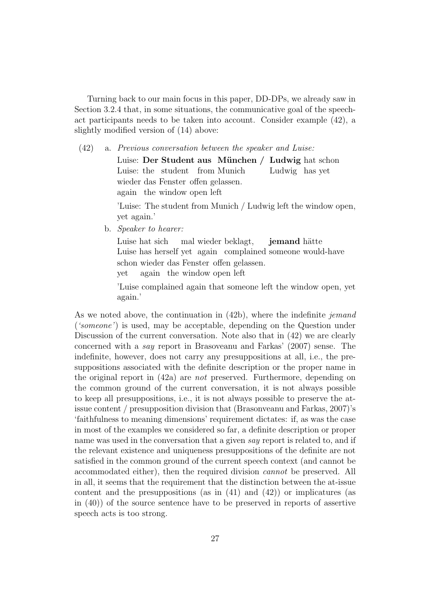Turning back to our main focus in this paper, DD-DPs, we already saw in Section 3.2.4 that, in some situations, the communicative goal of the speechact participants needs to be taken into account. Consider example (42), a slightly modified version of (14) above:

(42) a. Previous conversation between the speaker and Luise:

Luise: Der Student aus München / Ludwig hat schon Luise: the student from Munich Ludwig has yet wieder das Fenster offen gelassen. again the window open left

'Luise: The student from Munich / Ludwig left the window open, yet again.'

b. Speaker to hearer:

Luise hat sich Luise has herself yet again complained someone would-have mal wieder beklagt, **jemand** hätte schon wieder das Fenster offen gelassen. yet again the window open left

'Luise complained again that someone left the window open, yet again.'

As we noted above, the continuation in  $(42b)$ , where the indefinite jemand ('someone') is used, may be acceptable, depending on the Question under Discussion of the current conversation. Note also that in (42) we are clearly concerned with a say report in Brasoveanu and Farkas' (2007) sense. The indefinite, however, does not carry any presuppositions at all, i.e., the presuppositions associated with the definite description or the proper name in the original report in (42a) are not preserved. Furthermore, depending on the common ground of the current conversation, it is not always possible to keep all presuppositions, i.e., it is not always possible to preserve the atissue content / presupposition division that (Brasonveanu and Farkas, 2007)'s 'faithfulness to meaning dimensions' requirement dictates: if, as was the case in most of the examples we considered so far, a definite description or proper name was used in the conversation that a given say report is related to, and if the relevant existence and uniqueness presuppositions of the definite are not satisfied in the common ground of the current speech context (and cannot be accommodated either), then the required division cannot be preserved. All in all, it seems that the requirement that the distinction between the at-issue content and the presuppositions (as in  $(41)$  and  $(42)$ ) or implicatures (as in (40)) of the source sentence have to be preserved in reports of assertive speech acts is too strong.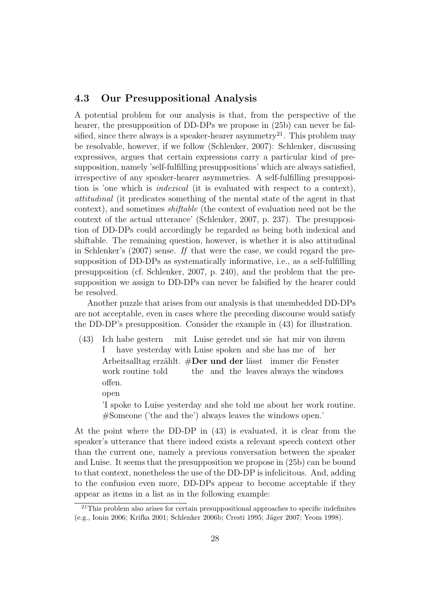#### 4.3 Our Presuppositional Analysis

A potential problem for our analysis is that, from the perspective of the hearer, the presupposition of DD-DPs we propose in  $(25b)$  can never be falsified, since there always is a speaker-hearer asymmetry<sup>21</sup>. This problem may be resolvable, however, if we follow (Schlenker, 2007): Schlenker, discussing expressives, argues that certain expressions carry a particular kind of presupposition, namely 'self-fulfilling presuppositions' which are always satisfied, irrespective of any speaker-hearer asymmetries. A self-fulfilling presupposition is 'one which is indexical (it is evaluated with respect to a context), attitudinal (it predicates something of the mental state of the agent in that context), and sometimes shiftable (the context of evaluation need not be the context of the actual utterance' (Schlenker, 2007, p. 237). The presupposition of DD-DPs could accordingly be regarded as being both indexical and shiftable. The remaining question, however, is whether it is also attitudinal in Schlenker's  $(2007)$  sense. If that were the case, we could regard the presupposition of DD-DPs as systematically informative, i.e., as a self-fulfilling presupposition (cf. Schlenker, 2007, p. 240), and the problem that the presupposition we assign to DD-DPs can never be falsified by the hearer could be resolved.

Another puzzle that arises from our analysis is that unembedded DD-DPs are not acceptable, even in cases where the preceding discourse would satisfy the DD-DP's presupposition. Consider the example in (43) for illustration.

- $(43)$ I habe gestern mit Luise geredet und sie hat mir von ihrem have yesterday with Luise spoken and she has me of her Arbeitsalltag erzählt. #Der und der lässt immer die Fenster work routine told the and the leaves always the windows offen.
	- open

'I spoke to Luise yesterday and she told me about her work routine. #Someone ('the and the') always leaves the windows open.'

At the point where the DD-DP in (43) is evaluated, it is clear from the speaker's utterance that there indeed exists a relevant speech context other than the current one, namely a previous conversation between the speaker and Luise. It seems that the presupposition we propose in (25b) can be bound to that context, nonetheless the use of the DD-DP is infelicitous. And, adding to the confusion even more, DD-DPs appear to become acceptable if they appear as items in a list as in the following example:

 $21$ This problem also arises for certain presuppositional approaches to specific indefinites (e.g., Ionin 2006; Krifka 2001; Schlenker 2006b; Cresti 1995; Jäger 2007; Yeom 1998).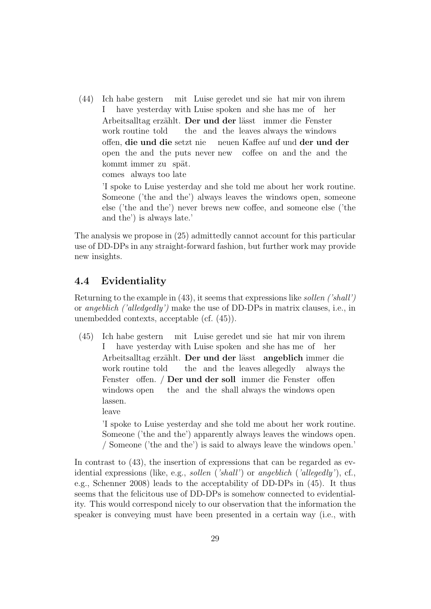(44) Ich habe gestern mit Luise geredet und sie hat mir von ihrem I have yesterday with Luise spoken and she has me of her Arbeitsalltag erzählt. Der und der lässt immer die Fenster work routine told the and the leaves always the windows offen, die und die setzt nie open the and the puts never new neuen Kaffee auf und der und der coffee on and the and the kommt immer zu spät.

comes always too late

'I spoke to Luise yesterday and she told me about her work routine. Someone ('the and the') always leaves the windows open, someone else ('the and the') never brews new coffee, and someone else ('the and the') is always late.'

The analysis we propose in (25) admittedly cannot account for this particular use of DD-DPs in any straight-forward fashion, but further work may provide new insights.

#### 4.4 Evidentiality

Returning to the example in (43), it seems that expressions like sollen ('shall') or angeblich ('alledgedly') make the use of DD-DPs in matrix clauses, i.e., in unembedded contexts, acceptable (cf. (45)).

(45) Ich habe gestern mit Luise geredet und sie hat mir von ihrem I have yesterday with Luise spoken and she has me of her Arbeitsalltag erzählt. Der und der lässt angeblich immer die work routine told the and the leaves allegedly always the Fenster offen. / Der und der soll immer die Fenster offen windows open the and the shall always the windows open lassen.

leave

'I spoke to Luise yesterday and she told me about her work routine. Someone ('the and the') apparently always leaves the windows open. / Someone ('the and the') is said to always leave the windows open.'

In contrast to (43), the insertion of expressions that can be regarded as evidential expressions (like, e.g., sollen ('shall') or angeblich ('allegedly'), cf., e.g., Schenner 2008) leads to the acceptability of DD-DPs in (45). It thus seems that the felicitous use of DD-DPs is somehow connected to evidentiality. This would correspond nicely to our observation that the information the speaker is conveying must have been presented in a certain way (i.e., with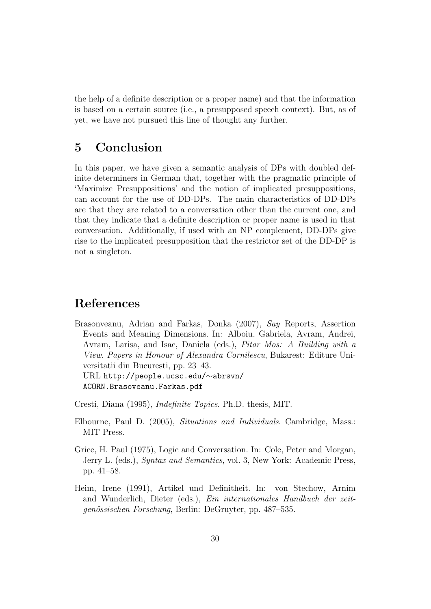the help of a definite description or a proper name) and that the information is based on a certain source (i.e., a presupposed speech context). But, as of yet, we have not pursued this line of thought any further.

## 5 Conclusion

In this paper, we have given a semantic analysis of DPs with doubled definite determiners in German that, together with the pragmatic principle of 'Maximize Presuppositions' and the notion of implicated presuppositions, can account for the use of DD-DPs. The main characteristics of DD-DPs are that they are related to a conversation other than the current one, and that they indicate that a definite description or proper name is used in that conversation. Additionally, if used with an NP complement, DD-DPs give rise to the implicated presupposition that the restrictor set of the DD-DP is not a singleton.

## References

Brasonveanu, Adrian and Farkas, Donka (2007), Say Reports, Assertion Events and Meaning Dimensions. In: Alboiu, Gabriela, Avram, Andrei, Avram, Larisa, and Isac, Daniela (eds.), Pitar Mos: A Building with a View. Papers in Honour of Alexandra Cornilescu, Bukarest: Editure Universitatii din Bucuresti, pp. 23–43. URL http://people.ucsc.edu/∼abrsvn/ ACORN.Brasoveanu.Farkas.pdf

Cresti, Diana (1995), Indefinite Topics. Ph.D. thesis, MIT.

- Elbourne, Paul D. (2005), Situations and Individuals. Cambridge, Mass.: MIT Press.
- Grice, H. Paul (1975), Logic and Conversation. In: Cole, Peter and Morgan, Jerry L. (eds.), Syntax and Semantics, vol. 3, New York: Academic Press, pp. 41–58.
- Heim, Irene (1991), Artikel und Definitheit. In: von Stechow, Arnim and Wunderlich, Dieter (eds.), Ein internationales Handbuch der zeitgenössischen Forschung, Berlin: DeGruyter, pp. 487–535.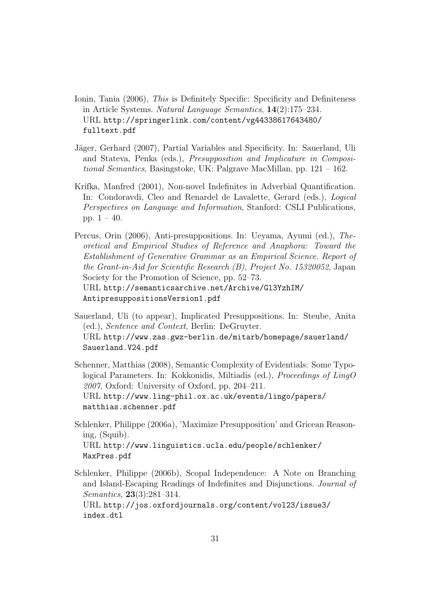- Ionin, Tania (2006), This is Definitely Specific: Specificity and Definiteness in Article Systems. Natural Language Semantics, 14(2):175–234. URL http://springerlink.com/content/vg44338617643480/ fulltext.pdf
- Jäger, Gerhard (2007), Partial Variables and Specificity. In: Sauerland, Uli and Stateva, Penka (eds.), Presupposition and Implicature in Compositional Semantics, Basingstoke, UK: Palgrave MacMillan, pp. 121 – 162.
- Krifka, Manfred (2001), Non-novel Indefinites in Adverbial Quantification. In: Condoravdi, Cleo and Renardel de Lavalette, Gerard (eds.), Logical Perspectives on Language and Information, Stanford: CSLI Publications, pp.  $1 - 40$ .
- Percus, Orin (2006), Anti-presuppositions. In: Ueyama, Ayumi (ed.), Theoretical and Empirical Studies of Reference and Anaphora: Toward the Establishment of Generative Grammar as an Empirical Science. Report of the Grant-in-Aid for Scientific Research (B), Project No. 15320052, Japan Society for the Promotion of Science, pp. 52–73. URL http://semanticsarchive.net/Archive/Gl3YzhIM/ AntipresuppositionsVersion1.pdf
- Sauerland, Uli (to appear), Implicated Presuppositions. In: Steube, Anita (ed.), Sentence and Context, Berlin: DeGruyter. URL http://www.zas.gwz-berlin.de/mitarb/homepage/sauerland/ Sauerland.V24.pdf
- Schenner, Matthias (2008), Semantic Complexity of Evidentials: Some Typological Parameters. In: Kokkonidis, Miltiadis (ed.), Proceedings of LingO 2007, Oxford: University of Oxford, pp. 204–211. URL http://www.ling-phil.ox.ac.uk/events/lingo/papers/ matthias.schenner.pdf
- Schlenker, Philippe (2006a), 'Maximize Presupposition' and Gricean Reasoning, (Squib). URL http://www.linguistics.ucla.edu/people/schlenker/ MaxPres.pdf
- Schlenker, Philippe (2006b), Scopal Independence: A Note on Branching and Island-Escaping Readings of Indefinites and Disjunctions. Journal of Semantics, 23(3):281–314.

URL http://jos.oxfordjournals.org/content/vol23/issue3/ index.dtl